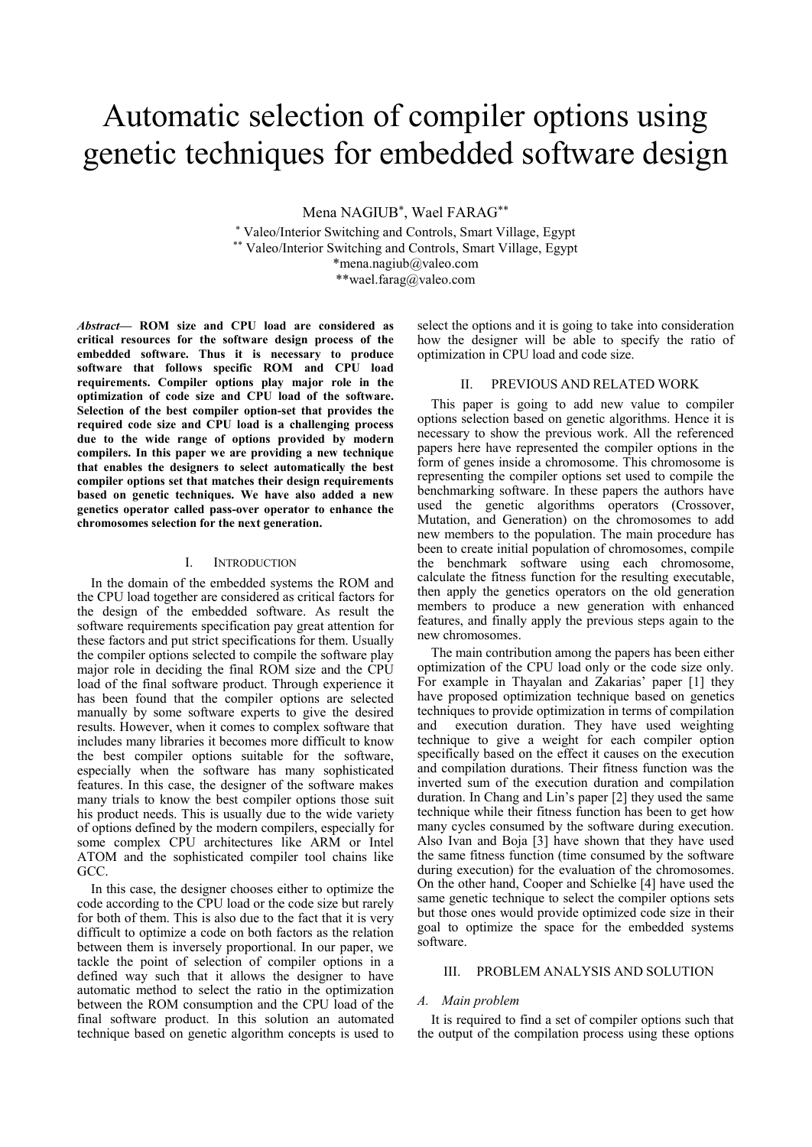# Automatic selection of compiler options using genetic techniques for embedded software design

Mena NAGIUB\*, Wael FARAG\*\*

\* Valeo/Interior Switching and Controls, Smart Village, Egypt \*\* Valeo/Interior Switching and Controls, Smart Village, Egypt \*mena.nagiub@valeo.com \*\*wael.farag@valeo.com

*Abstract***— ROM size and CPU load are considered as critical resources for the software design process of the embedded software. Thus it is necessary to produce software that follows specific ROM and CPU load requirements. Compiler options play major role in the optimization of code size and CPU load of the software. Selection of the best compiler option-set that provides the required code size and CPU load is a challenging process due to the wide range of options provided by modern compilers. In this paper we are providing a new technique that enables the designers to select automatically the best compiler options set that matches their design requirements based on genetic techniques. We have also added a new genetics operator called pass-over operator to enhance the chromosomes selection for the next generation.**

## I. INTRODUCTION

In the domain of the embedded systems the ROM and the CPU load together are considered as critical factors for the design of the embedded software. As result the software requirements specification pay great attention for these factors and put strict specifications for them. Usually the compiler options selected to compile the software play major role in deciding the final ROM size and the CPU load of the final software product. Through experience it has been found that the compiler options are selected manually by some software experts to give the desired results. However, when it comes to complex software that includes many libraries it becomes more difficult to know the best compiler options suitable for the software, especially when the software has many sophisticated features. In this case, the designer of the software makes many trials to know the best compiler options those suit his product needs. This is usually due to the wide variety of options defined by the modern compilers, especially for some complex CPU architectures like ARM or Intel ATOM and the sophisticated compiler tool chains like GCC.

In this case, the designer chooses either to optimize the code according to the CPU load or the code size but rarely for both of them. This is also due to the fact that it is very difficult to optimize a code on both factors as the relation between them is inversely proportional. In our paper, we tackle the point of selection of compiler options in a defined way such that it allows the designer to have automatic method to select the ratio in the optimization between the ROM consumption and the CPU load of the final software product. In this solution an automated technique based on genetic algorithm concepts is used to

select the options and it is going to take into consideration how the designer will be able to specify the ratio of optimization in CPU load and code size.

# II. PREVIOUS AND RELATED WORK

This paper is going to add new value to compiler options selection based on genetic algorithms. Hence it is necessary to show the previous work. All the referenced papers here have represented the compiler options in the form of genes inside a chromosome. This chromosome is representing the compiler options set used to compile the benchmarking software. In these papers the authors have used the genetic algorithms operators (Crossover, Mutation, and Generation) on the chromosomes to add new members to the population. The main procedure has been to create initial population of chromosomes, compile the benchmark software using each chromosome, calculate the fitness function for the resulting executable, then apply the genetics operators on the old generation members to produce a new generation with enhanced features, and finally apply the previous steps again to the new chromosomes.

The main contribution among the papers has been either optimization of the CPU load only or the code size only. For example in Thayalan and Zakarias' paper [1] they have proposed optimization technique based on genetics techniques to provide optimization in terms of compilation and execution duration. They have used weighting technique to give a weight for each compiler option specifically based on the effect it causes on the execution and compilation durations. Their fitness function was the inverted sum of the execution duration and compilation duration. In Chang and Lin's paper [2] they used the same technique while their fitness function has been to get how many cycles consumed by the software during execution. Also Ivan and Boja [3] have shown that they have used the same fitness function (time consumed by the software during execution) for the evaluation of the chromosomes. On the other hand, Cooper and Schielke [4] have used the same genetic technique to select the compiler options sets but those ones would provide optimized code size in their goal to optimize the space for the embedded systems software.

## III. PROBLEM ANALYSIS AND SOLUTION

## *A. Main problem*

It is required to find a set of compiler options such that the output of the compilation process using these options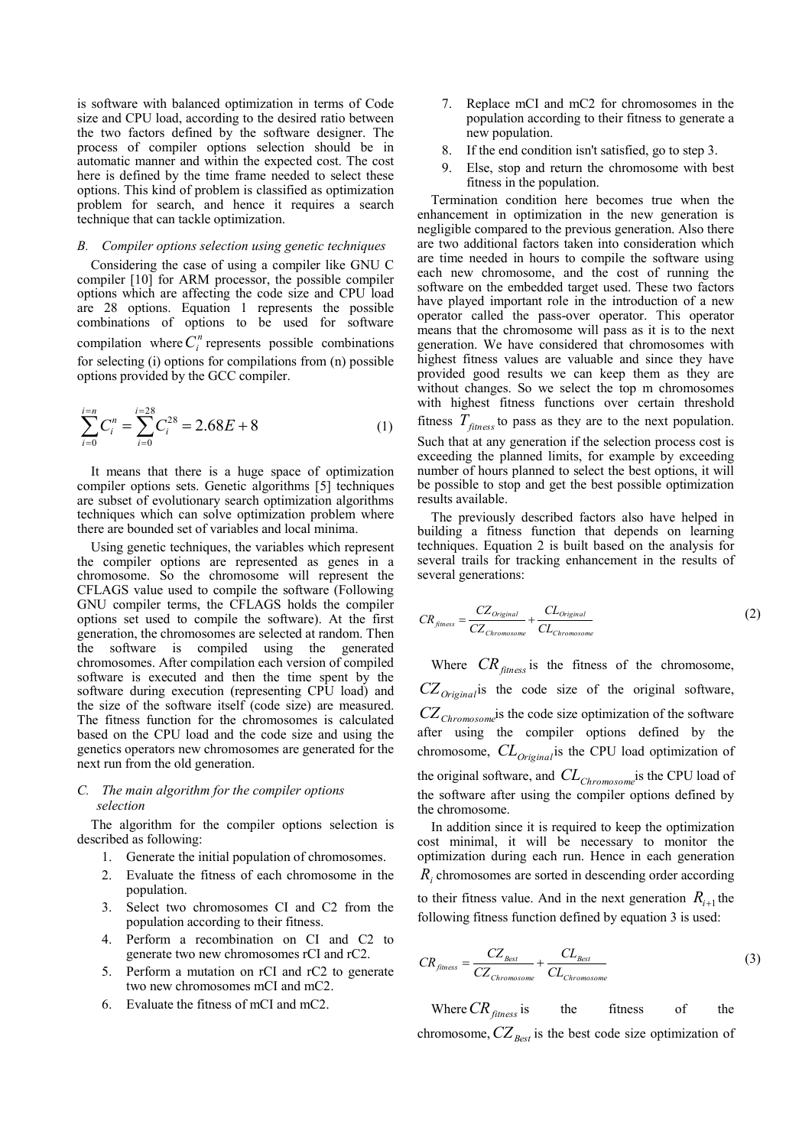is software with balanced optimization in terms of Code size and CPU load, according to the desired ratio between the two factors defined by the software designer. The process of compiler options selection should be in automatic manner and within the expected cost. The cost here is defined by the time frame needed to select these options. This kind of problem is classified as optimization problem for search, and hence it requires a search technique that can tackle optimization.

## *B. Compiler options selection using genetic techniques*

Considering the case of using a compiler like GNU C compiler [10] for ARM processor, the possible compiler options which are affecting the code size and CPU load are 28 options. Equation 1 represents the possible combinations of options to be used for software compilation where  $C_i^n$  represents possible combinations for selecting (i) options for compilations from (n) possible options provided by the GCC compiler.

$$
\sum_{i=0}^{i=n} C_i^n = \sum_{i=0}^{i=28} C_i^{28} = 2.68E + 8
$$
 (1)

It means that there is a huge space of optimization compiler options sets. Genetic algorithms [5] techniques are subset of evolutionary search optimization algorithms techniques which can solve optimization problem where there are bounded set of variables and local minima.

Using genetic techniques, the variables which represent the compiler options are represented as genes in a chromosome. So the chromosome will represent the CFLAGS value used to compile the software (Following GNU compiler terms, the CFLAGS holds the compiler options set used to compile the software). At the first generation, the chromosomes are selected at random. Then the software is compiled using the generated chromosomes. After compilation each version of compiled software is executed and then the time spent by the software during execution (representing CPU load) and the size of the software itself (code size) are measured. The fitness function for the chromosomes is calculated based on the CPU load and the code size and using the genetics operators new chromosomes are generated for the next run from the old generation.

# *C. The main algorithm for the compiler options selection*

The algorithm for the compiler options selection is described as following:

- 1. Generate the initial population of chromosomes.
- 2. Evaluate the fitness of each chromosome in the population.
- 3. Select two chromosomes CI and C2 from the population according to their fitness.
- 4. Perform a recombination on CI and C2 to generate two new chromosomes rCI and rC2.
- 5. Perform a mutation on rCI and rC2 to generate two new chromosomes mCI and mC2.
- 6. Evaluate the fitness of mCI and mC2.
- 7. Replace mCI and mC2 for chromosomes in the population according to their fitness to generate a new population.
- 8. If the end condition isn't satisfied, go to step 3.
- Else, stop and return the chromosome with best fitness in the population.

Termination condition here becomes true when the enhancement in optimization in the new generation is negligible compared to the previous generation. Also there are two additional factors taken into consideration which are time needed in hours to compile the software using each new chromosome, and the cost of running the software on the embedded target used. These two factors have played important role in the introduction of a new operator called the pass-over operator. This operator means that the chromosome will pass as it is to the next generation. We have considered that chromosomes with highest fitness values are valuable and since they have provided good results we can keep them as they are without changes. So we select the top m chromosomes with highest fitness functions over certain threshold

fitness  $T_{\text{fitness}}$  to pass as they are to the next population.

Such that at any generation if the selection process cost is exceeding the planned limits, for example by exceeding number of hours planned to select the best options, it will be possible to stop and get the best possible optimization results available.

The previously described factors also have helped in building a fitness function that depends on learning techniques. Equation 2 is built based on the analysis for several trails for tracking enhancement in the results of several generations:

$$
CR_{\text{fitness}} = \frac{CZ_{\text{Original}}}{CZ_{\text{Chromosome}}} + \frac{CL_{\text{Original}}}{CL_{\text{Chromosome}}}
$$
\n(2)

Where  $CR_{\text{fitness}}$  is the fitness of the chromosome, *CZOriginal* is the code size of the original software, *CZChromosome* is the code size optimization of the software after using the compiler options defined by the chromosome, *CLOriginal* is the CPU load optimization of the original software, and *CLChromosome* is the CPU load of the software after using the compiler options defined by the chromosome.

In addition since it is required to keep the optimization cost minimal, it will be necessary to monitor the optimization during each run. Hence in each generation *Ri* chromosomes are sorted in descending order according

to their fitness value. And in the next generation  $R_{i+1}$  the following fitness function defined by equation 3 is used:

$$
CR_{\hat{f} \times \hat{C}} = \frac{CZ_{\text{Best}}}{CZ_{\text{Chromosome}}} + \frac{CL_{\text{Best}}}{CL_{\text{Chromosome}}}
$$
(3)

Where *CRfitness* the fitness of the chromosome,  $CZ_{\text{Best}}$  is the best code size optimization of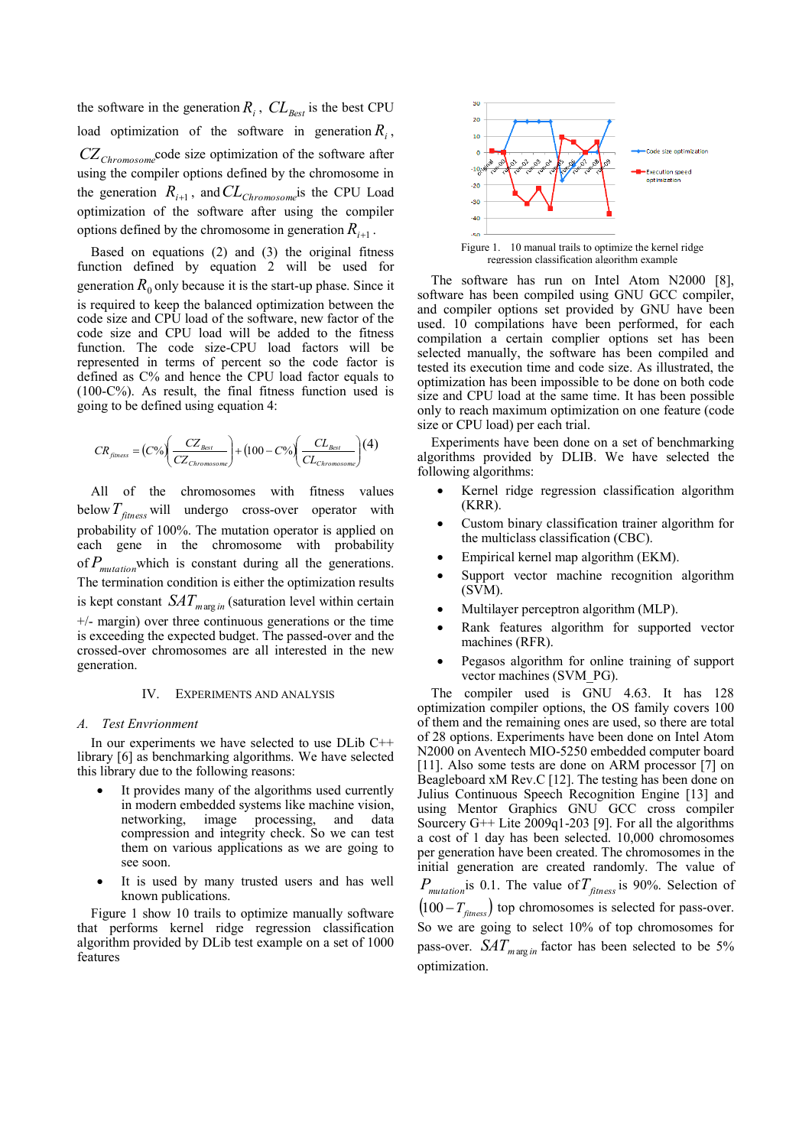the software in the generation  $R_i$ ,  $CL_{Best}$  is the best CPU load optimization of the software in generation  $R_i$ , *CZChromosome* code size optimization of the software after using the compiler options defined by the chromosome in the generation  $R_{i+1}$ , and  $CL_{Chromosome}$  is the CPU Load optimization of the software after using the compiler options defined by the chromosome in generation  $R_{i+1}$ .

Based on equations (2) and (3) the original fitness function defined by equation 2 will be used for generation  $R_0$  only because it is the start-up phase. Since it is required to keep the balanced optimization between the code size and CPU load of the software, new factor of the code size and CPU load will be added to the fitness function. The code size-CPU load factors will be represented in terms of percent so the code factor is defined as C% and hence the CPU load factor equals to (100-C%). As result, the final fitness function used is going to be defined using equation 4:

$$
CR_{\text{finress}} = (C\%) \left( \frac{CZ_{\text{Best}}}{CZ_{\text{Chromosome}}} \right) + (100 - C\%) \left( \frac{CL_{\text{Best}}}{CL_{\text{Chromosome}}} \right) (4)
$$

All of the chromosomes with fitness values below *Tfitness* will undergo cross-over operator with probability of 100%. The mutation operator is applied on each gene in the chromosome with probability of *Pmutation* which is constant during all the generations. The termination condition is either the optimization results is kept constant  $SAT_{marg in}$  (saturation level within certain +/- margin) over three continuous generations or the time is exceeding the expected budget. The passed-over and the crossed-over chromosomes are all interested in the new generation.

# IV. EXPERIMENTS AND ANALYSIS

## *A. Test Envrionment*

In our experiments we have selected to use DLib C++ library [6] as benchmarking algorithms. We have selected this library due to the following reasons:

- It provides many of the algorithms used currently in modern embedded systems like machine vision,<br>networking, image processing, and data image processing, and data compression and integrity check. So we can test them on various applications as we are going to see soon.
- It is used by many trusted users and has well known publications.

Figure 1 show 10 trails to optimize manually software that performs kernel ridge regression classification algorithm provided by DLib test example on a set of 1000 features



regression classification algorithm example

The software has run on Intel Atom N2000 [8], software has been compiled using GNU GCC compiler, and compiler options set provided by GNU have been used. 10 compilations have been performed, for each compilation a certain complier options set has been selected manually, the software has been compiled and tested its execution time and code size. As illustrated, the optimization has been impossible to be done on both code size and CPU load at the same time. It has been possible only to reach maximum optimization on one feature (code size or CPU load) per each trial.

Experiments have been done on a set of benchmarking algorithms provided by DLIB. We have selected the following algorithms:

- Kernel ridge regression classification algorithm (KRR).
- Custom binary classification trainer algorithm for the multiclass classification (CBC).
- Empirical kernel map algorithm (EKM).
- Support vector machine recognition algorithm (SVM).
- Multilayer perceptron algorithm (MLP).
- Rank features algorithm for supported vector machines (RFR).
- Pegasos algorithm for online training of support vector machines (SVM\_PG).

The compiler used is GNU 4.63. It has 128 optimization compiler options, the OS family covers 100 of them and the remaining ones are used, so there are total of 28 options. Experiments have been done on Intel Atom N2000 on Aventech MIO-5250 embedded computer board [11]. Also some tests are done on ARM processor [7] on Beagleboard xM Rev.C [12]. The testing has been done on Julius Continuous Speech Recognition Engine [13] and using Mentor Graphics GNU GCC cross compiler Sourcery G++ Lite  $2009q1-203$  [9]. For all the algorithms a cost of 1 day has been selected. 10,000 chromosomes per generation have been created. The chromosomes in the initial generation are created randomly. The value of *Pmutation* is 0.1. The value of *Tfitness* is 90%. Selection of  $(100 - T_{\text{fitness}})$  top chromosomes is selected for pass-over. So we are going to select 10% of top chromosomes for pass-over.  $SAT_{marg in}$  factor has been selected to be 5% optimization.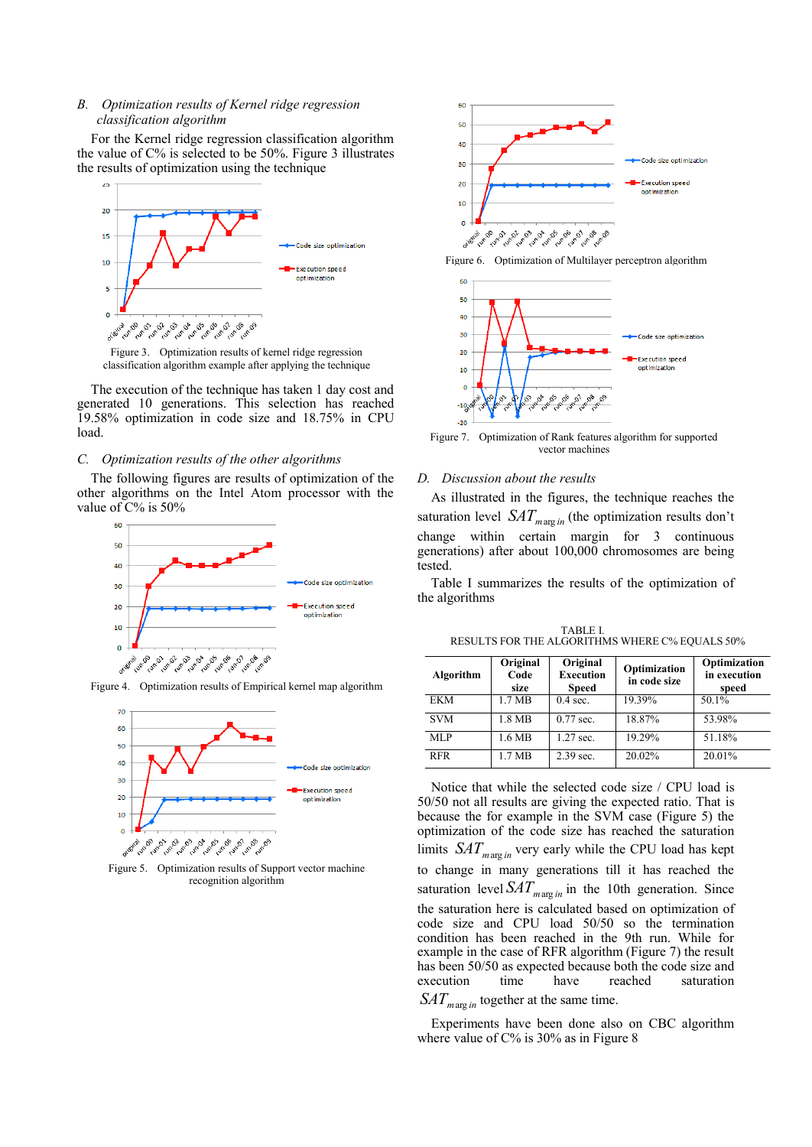# *B. Optimization results of Kernel ridge regression classification algorithm*

For the Kernel ridge regression classification algorithm the value of C% is selected to be 50%. Figure 3 illustrates the results of optimization using the technique



Figure 3. Optimization results of kernel ridge regression classification algorithm example after applying the technique

The execution of the technique has taken 1 day cost and generated 10 generations. This selection has reached 19.58% optimization in code size and 18.75% in CPU load.

# *C. Optimization results of the other algorithms*

The following figures are results of optimization of the other algorithms on the Intel Atom processor with the value of  $C\%$  is 50%



Figure 4. Optimization results of Empirical kernel map algorithm



Figure 5. Optimization results of Support vector machine recognition algorithm



Figure 6. Optimization of Multilayer perceptron algorithm



Figure 7. Optimization of Rank features algorithm for supported vector machines

# *D. Discussion about the results*

As illustrated in the figures, the technique reaches the saturation level  $SAT_{marg in}$  (the optimization results don't change within certain margin for 3 continuous generations) after about 100,000 chromosomes are being tested.

Table I summarizes the results of the optimization of the algorithms

TABLE I. RESULTS FOR THE ALGORITHMS WHERE C% EQUALS 50%

| Algorithm  | Original<br>Code<br>size | Original<br><b>Execution</b><br><b>Speed</b> | Optimization<br>in code size | Optimization<br>in execution<br>speed |
|------------|--------------------------|----------------------------------------------|------------------------------|---------------------------------------|
| <b>EKM</b> | 1.7 MB                   | $0.4$ sec.                                   | 19.39%                       | 50.1%                                 |
| <b>SVM</b> | 1.8 MB                   | $0.77$ sec.                                  | 18.87%                       | 53.98%                                |
| MLP        | 1.6 MB                   | 1.27 sec.                                    | 19.29%                       | 51.18%                                |
| <b>RFR</b> | 1.7 MB                   | $2.39$ sec.                                  | 20.02%                       | 20.01%                                |

Notice that while the selected code size / CPU load is 50/50 not all results are giving the expected ratio. That is because the for example in the SVM case (Figure 5) the optimization of the code size has reached the saturation limits  $SAT_{marg in}$  very early while the CPU load has kept to change in many generations till it has reached the saturation level  $SAT_{marg in}$  in the 10th generation. Since the saturation here is calculated based on optimization of code size and CPU load 50/50 so the termination condition has been reached in the 9th run. While for example in the case of RFR algorithm (Figure 7) the result has been 50/50 as expected because both the code size and execution time have reached saturation *SATm*arg *in* together at the same time.

Experiments have been done also on CBC algorithm where value of C% is 30% as in Figure 8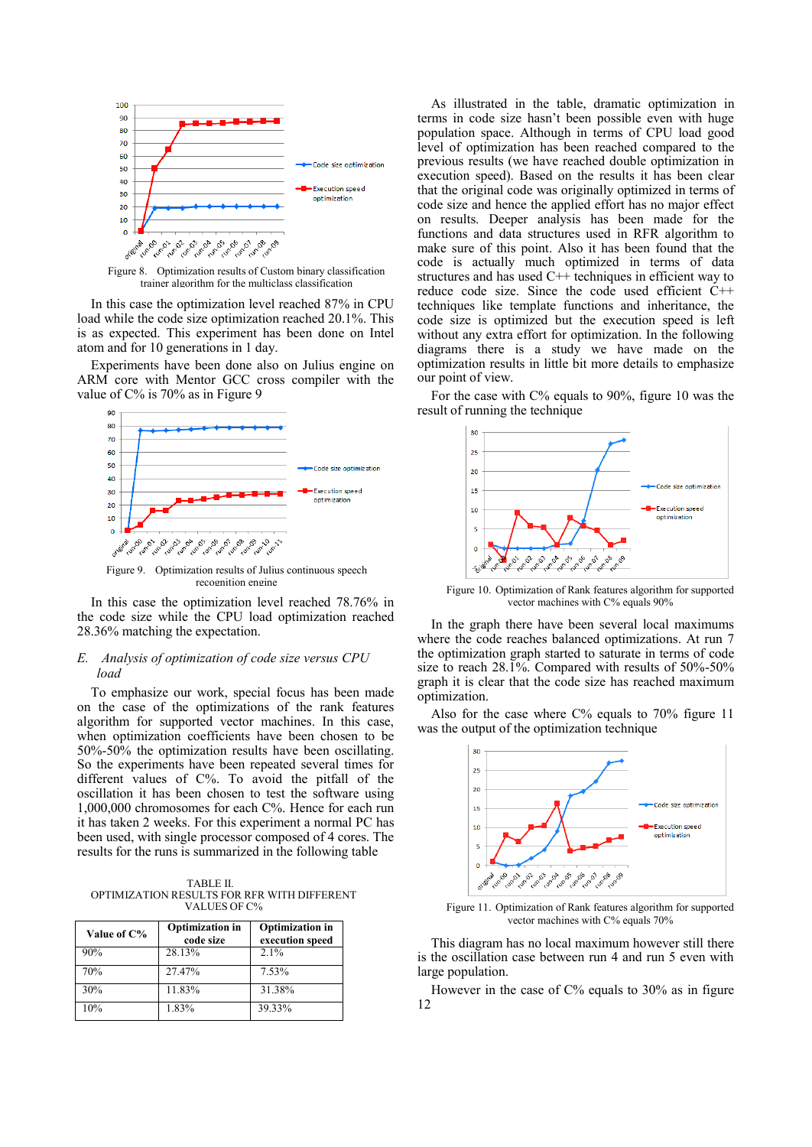

Figure 8. Optimization results of Custom binary classification trainer algorithm for the multiclass classification

In this case the optimization level reached 87% in CPU load while the code size optimization reached 20.1%. This is as expected. This experiment has been done on Intel atom and for 10 generations in 1 day.

Experiments have been done also on Julius engine on ARM core with Mentor GCC cross compiler with the value of C% is 70% as in Figure 9



Figure 9. Optimization results of Julius continuous speech recognition engine

In this case the optimization level reached 78.76% in the code size while the CPU load optimization reached 28.36% matching the expectation.

# *E. Analysis of optimization of code size versus CPU load*

To emphasize our work, special focus has been made on the case of the optimizations of the rank features algorithm for supported vector machines. In this case, when optimization coefficients have been chosen to be 50%-50% the optimization results have been oscillating. So the experiments have been repeated several times for different values of C%. To avoid the pitfall of the oscillation it has been chosen to test the software using 1,000,000 chromosomes for each C%. Hence for each run it has taken 2 weeks. For this experiment a normal PC has been used, with single processor composed of 4 cores. The results for the runs is summarized in the following table

TABLE II. OPTIMIZATION RESULTS FOR RFR WITH DIFFERENT VALUES OF C%

| Value of C% | <b>Optimization in</b><br>code size | <b>Optimization in</b><br>execution speed |
|-------------|-------------------------------------|-------------------------------------------|
| 90%         | 28.13%                              | 2.1%                                      |
| 70%         | 27.47%                              | 7.53%                                     |
| 30%         | 11.83%                              | 31.38%                                    |
| 10%         | 1.83%                               | 39.33%                                    |

As illustrated in the table, dramatic optimization in terms in code size hasn't been possible even with huge population space. Although in terms of CPU load good level of optimization has been reached compared to the previous results (we have reached double optimization in execution speed). Based on the results it has been clear that the original code was originally optimized in terms of code size and hence the applied effort has no major effect on results. Deeper analysis has been made for the functions and data structures used in RFR algorithm to make sure of this point. Also it has been found that the code is actually much optimized in terms of data structures and has used C++ techniques in efficient way to reduce code size. Since the code used efficient C++ techniques like template functions and inheritance, the code size is optimized but the execution speed is left without any extra effort for optimization. In the following diagrams there is a study we have made on the optimization results in little bit more details to emphasize our point of view.

For the case with C% equals to 90%, figure 10 was the result of running the technique



Figure 10. Optimization of Rank features algorithm for supported vector machines with C% equals 90%

In the graph there have been several local maximums where the code reaches balanced optimizations. At run 7 the optimization graph started to saturate in terms of code size to reach 28.1%. Compared with results of 50%-50% graph it is clear that the code size has reached maximum optimization.

Also for the case where  $C\%$  equals to 70% figure 11 was the output of the optimization technique



Figure 11. Optimization of Rank features algorithm for supported vector machines with C% equals 70%

This diagram has no local maximum however still there is the oscillation case between run 4 and run 5 even with large population.

However in the case of C% equals to 30% as in figure 12